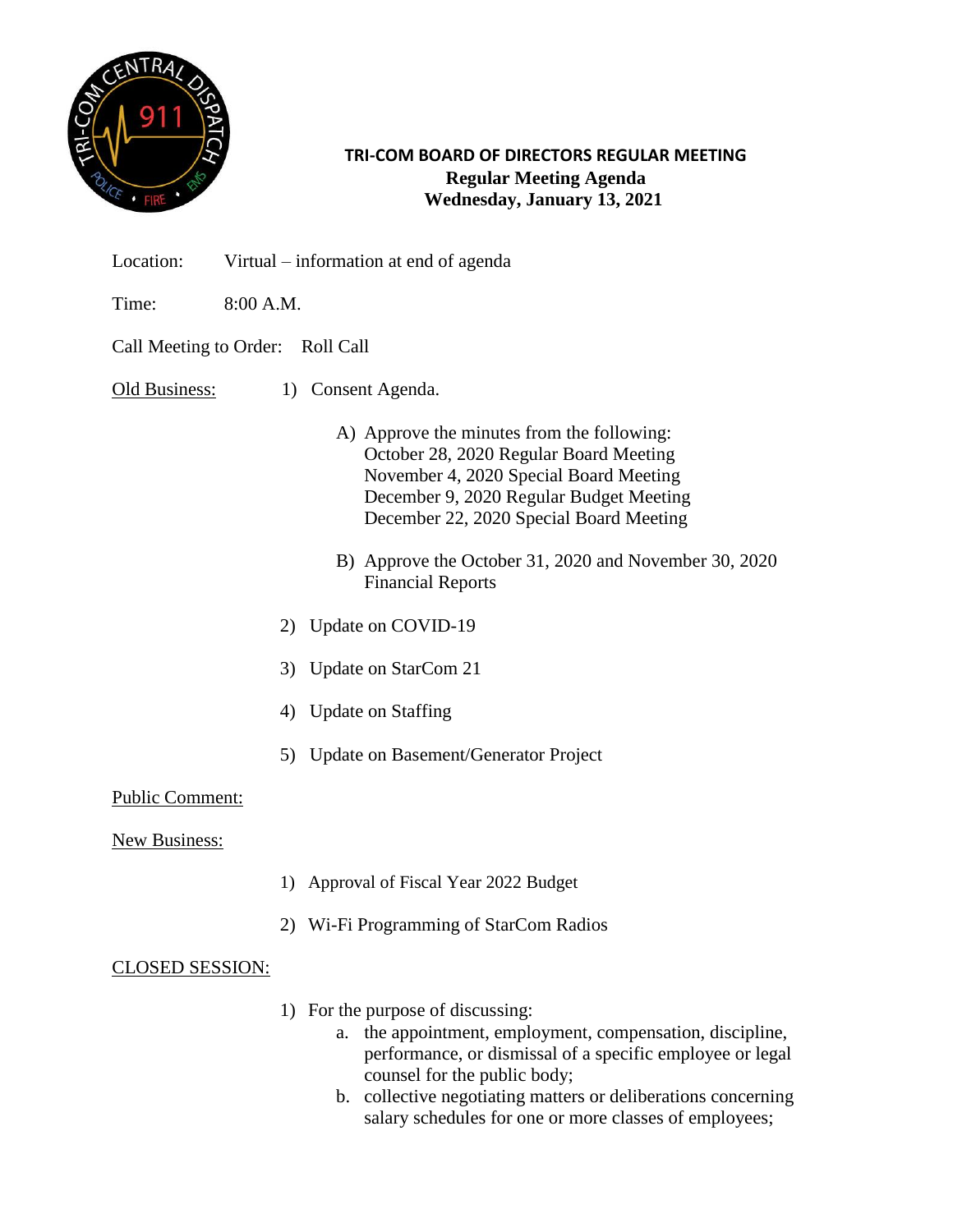

**TRI-COM BOARD OF DIRECTORS REGULAR MEETING Regular Meeting Agenda Wednesday, January 13, 2021**

- Location: Virtual information at end of agenda
- Time: 8:00 A.M.

Call Meeting to Order: Roll Call

Old Business: 1) Consent Agenda.

- A) Approve the minutes from the following: October 28, 2020 Regular Board Meeting November 4, 2020 Special Board Meeting December 9, 2020 Regular Budget Meeting December 22, 2020 Special Board Meeting
- B) Approve the October 31, 2020 and November 30, 2020 Financial Reports
- 2) Update on COVID-19
- 3) Update on StarCom 21
- 4) Update on Staffing
- 5) Update on Basement/Generator Project

## Public Comment:

New Business:

- 1) Approval of Fiscal Year 2022 Budget
- 2) Wi-Fi Programming of StarCom Radios

## CLOSED SESSION:

- 1) For the purpose of discussing:
	- a. the appointment, employment, compensation, discipline, performance, or dismissal of a specific employee or legal counsel for the public body;
	- b. collective negotiating matters or deliberations concerning salary schedules for one or more classes of employees;